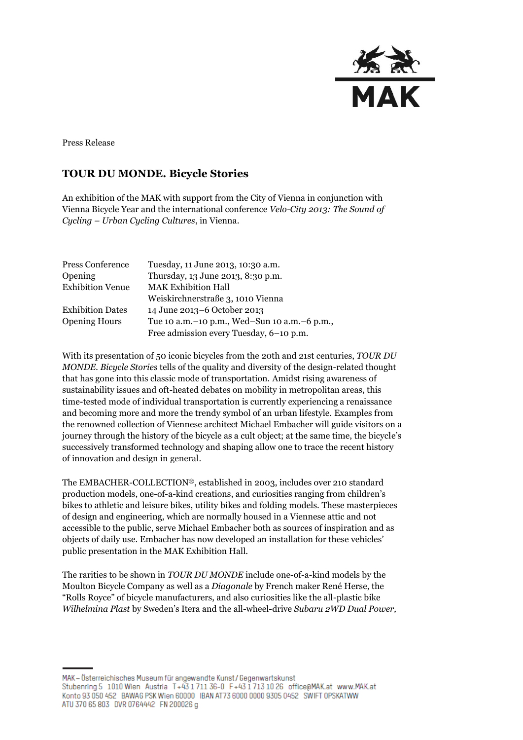

Press Release

# **TOUR DU MONDE. Bicycle Stories**

An exhibition of the MAK with support from the City of Vienna in conjunction with Vienna Bicycle Year and the international conference *Velo-City 2013: The Sound of Cycling – Urban Cycling Cultures*, in Vienna.

| Press Conference        | Tuesday, 11 June 2013, 10:30 a.m.                |
|-------------------------|--------------------------------------------------|
| Opening                 | Thursday, 13 June 2013, 8:30 p.m.                |
| <b>Exhibition Venue</b> | <b>MAK Exhibition Hall</b>                       |
|                         | Weiskirchnerstraße 3, 1010 Vienna                |
| <b>Exhibition Dates</b> | 14 June 2013-6 October 2013                      |
| <b>Opening Hours</b>    | Tue 10 a.m. - 10 p.m., Wed-Sun 10 a.m. - 6 p.m., |
|                         | Free admission every Tuesday, 6-10 p.m.          |

With its presentation of 50 iconic bicycles from the 20th and 21st centuries, *TOUR DU MONDE. Bicycle Stories* tells of the quality and diversity of the design-related thought that has gone into this classic mode of transportation. Amidst rising awareness of sustainability issues and oft-heated debates on mobility in metropolitan areas, this time-tested mode of individual transportation is currently experiencing a renaissance and becoming more and more the trendy symbol of an urban lifestyle. Examples from the renowned collection of Viennese architect Michael Embacher will guide visitors on a journey through the history of the bicycle as a cult object; at the same time, the bicycle's successively transformed technology and shaping allow one to trace the recent history of innovation and design in general.

The EMBACHER-COLLECTION®, established in 2003, includes over 210 standard production models, one-of-a-kind creations, and curiosities ranging from children's bikes to athletic and leisure bikes, utility bikes and folding models. These masterpieces of design and engineering, which are normally housed in a Viennese attic and not accessible to the public, serve Michael Embacher both as sources of inspiration and as objects of daily use. Embacher has now developed an installation for these vehicles' public presentation in the MAK Exhibition Hall.

The rarities to be shown in *TOUR DU MONDE* include one-of-a-kind models by the Moulton Bicycle Company as well as a *Diagonale* by French maker René Herse, the "Rolls Royce" of bicycle manufacturers, and also curiosities like the all-plastic bike *Wilhelmina Plast* by Sweden's Itera and the all-wheel-drive *Subaru 2WD Dual Power,* 

MAK - Österreichisches Museum für angewandte Kunst / Gegenwartskunst Stubenring 5 1010 Wien Austria T+43 1711 36-0 F+43 1713 10 26 office@MAK.at www.MAK.at Konto 93 050 452 BAWAG PSK Wien 60000 IBAN AT73 6000 0000 9305 0452 SWIFT OPSKATWW ATU 370 65 803 DVR 0764442 FN 200026 g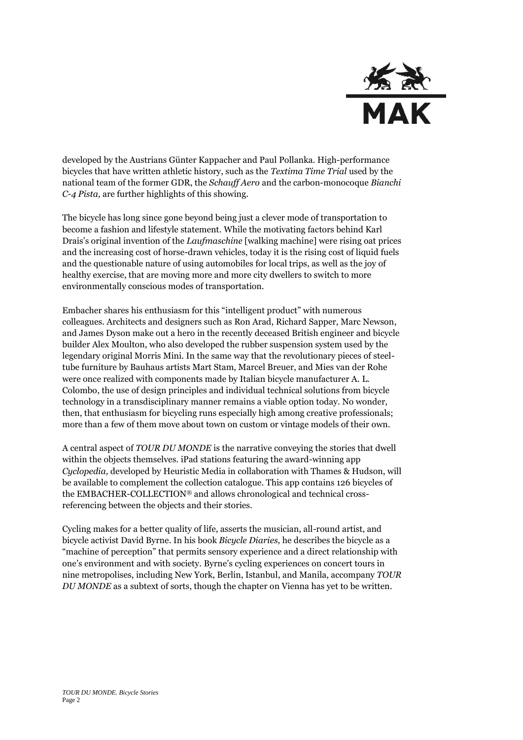

developed by the Austrians Günter Kappacher and Paul Pollanka. High-performance bicycles that have written athletic history, such as the *Textima Time Trial* used by the national team of the former GDR, the *Schauff Aero* and the carbon-monocoque *Bianchi C-4 Pista,* are further highlights of this showing.

The bicycle has long since gone beyond being just a clever mode of transportation to become a fashion and lifestyle statement. While the motivating factors behind Karl Drais's original invention of the *Laufmaschine* [walking machine] were rising oat prices and the increasing cost of horse-drawn vehicles, today it is the rising cost of liquid fuels and the questionable nature of using automobiles for local trips, as well as the joy of healthy exercise, that are moving more and more city dwellers to switch to more environmentally conscious modes of transportation.

Embacher shares his enthusiasm for this "intelligent product" with numerous colleagues. Architects and designers such as Ron Arad, Richard Sapper, Marc Newson, and James Dyson make out a hero in the recently deceased British engineer and bicycle builder Alex Moulton, who also developed the rubber suspension system used by the legendary original Morris Mini. In the same way that the revolutionary pieces of steeltube furniture by Bauhaus artists Mart Stam, Marcel Breuer, and Mies van der Rohe were once realized with components made by Italian bicycle manufacturer A. L. Colombo, the use of design principles and individual technical solutions from bicycle technology in a transdisciplinary manner remains a viable option today. No wonder, then, that enthusiasm for bicycling runs especially high among creative professionals; more than a few of them move about town on custom or vintage models of their own.

A central aspect of *TOUR DU MONDE* is the narrative conveying the stories that dwell within the objects themselves. iPad stations featuring the award-winning app *Cyclopedia,* developed by Heuristic Media in collaboration with Thames & Hudson, will be available to complement the collection catalogue. This app contains 126 bicycles of the EMBACHER-COLLECTION® and allows chronological and technical crossreferencing between the objects and their stories.

Cycling makes for a better quality of life, asserts the musician, all-round artist, and bicycle activist David Byrne. In his book *Bicycle Diaries,* he describes the bicycle as a "machine of perception" that permits sensory experience and a direct relationship with one's environment and with society. Byrne's cycling experiences on concert tours in nine metropolises, including New York, Berlin, Istanbul, and Manila, accompany *TOUR DU MONDE* as a subtext of sorts, though the chapter on Vienna has yet to be written.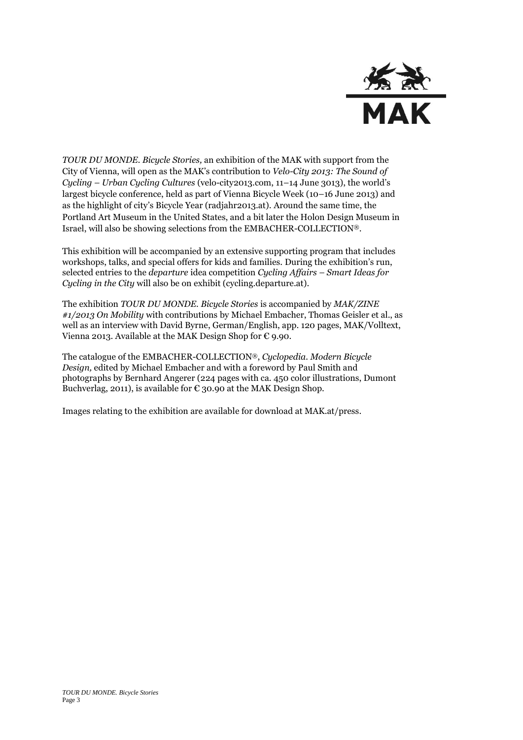

*TOUR DU MONDE. Bicycle Stories,* an exhibition of the MAK with support from the City of Vienna, will open as the MAK's contribution to *Velo-City 2013: The Sound of Cycling – Urban Cycling Cultures* (velo-city2013.com, 11–14 June 3013), the world's largest bicycle conference, held as part of Vienna Bicycle Week (10–16 June 2013) and as the highlight of city's Bicycle Year (radjahr2013.at). Around the same time, the Portland Art Museum in the United States, and a bit later the Holon Design Museum in Israel, will also be showing selections from the EMBACHER-COLLECTION®.

This exhibition will be accompanied by an extensive supporting program that includes workshops, talks, and special offers for kids and families. During the exhibition's run, selected entries to the *departure* idea competition *Cycling Affairs – Smart Ideas for Cycling in the City* will also be on exhibit (cycling.departure.at).

The exhibition *TOUR DU MONDE. Bicycle Stories* is accompanied by *MAK/ZINE #1/2013 On Mobility* with contributions by Michael Embacher, Thomas Geisler et al., as well as an interview with David Byrne, German/English, app. 120 pages, MAK/Volltext, Vienna 2013. Available at the MAK Design Shop for  $\epsilon$  9.90.

The catalogue of the EMBACHER-COLLECTION®, *Cyclopedia. Modern Bicycle Design,* edited by Michael Embacher and with a foreword by Paul Smith and photographs by Bernhard Angerer (224 pages with ca. 450 color illustrations, Dumont Buchverlag, 2011), is available for  $\epsilon$  30.90 at the MAK Design Shop.

Images relating to the exhibition are available for download at MAK.at/press.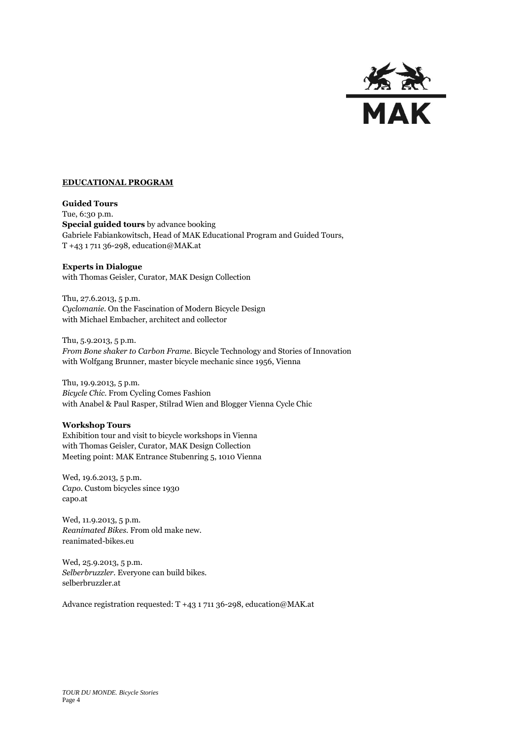

### **EDUCATIONAL PROGRAM**

**Guided Tours** Tue, 6:30 p.m. **Special guided tours** by advance booking Gabriele Fabiankowitsch, Head of MAK Educational Program and Guided Tours, T +43 1 711 36-298, education@MAK.at

## **Experts in Dialogue**

with Thomas Geisler, Curator, MAK Design Collection

Thu, 27.6.2013, 5 p.m. *Cyclomanie.* On the Fascination of Modern Bicycle Design with Michael Embacher, architect and collector

Thu, 5.9.2013, 5 p.m. *From Bone shaker to Carbon Frame.* Bicycle Technology and Stories of Innovation with Wolfgang Brunner, master bicycle mechanic since 1956, Vienna

Thu, 19.9.2013, 5 p.m. *Bicycle Chic.* From Cycling Comes Fashion with Anabel & Paul Rasper, Stilrad Wien and Blogger Vienna Cycle Chic

#### **Workshop Tours**

Exhibition tour and visit to bicycle workshops in Vienna with Thomas Geisler, Curator, MAK Design Collection Meeting point: MAK Entrance Stubenring 5, 1010 Vienna

Wed, 19.6.2013, 5 p.m. *Capo.* Custom bicycles since 1930 capo.at

Wed, 11.9.2013, 5 p.m. *Reanimated Bikes.* From old make new. reanimated-bikes.eu

Wed, 25.9.2013, 5 p.m. *Selberbruzzler.* Everyone can build bikes. selberbruzzler.at

Advance registration requested: T +43 1 711 36-298, education@MAK.at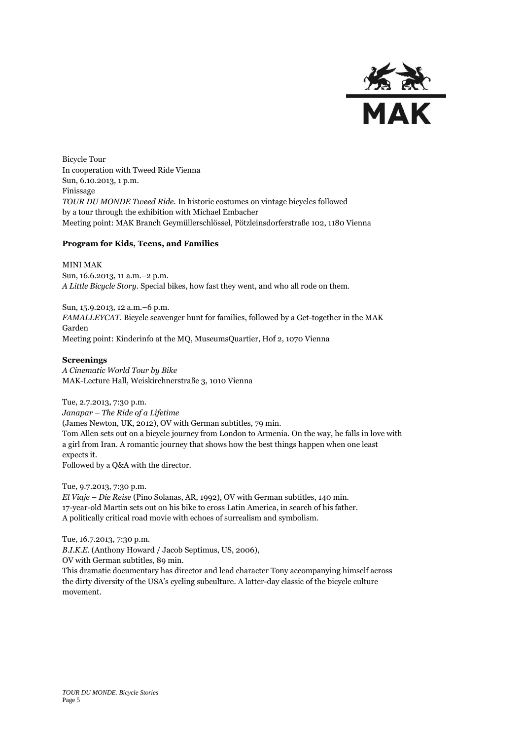

Bicycle Tour In cooperation with Tweed Ride Vienna Sun, 6.10.2013, 1 p.m. Finissage *TOUR DU MONDE Tweed Ride.* In historic costumes on vintage bicycles followed by a tour through the exhibition with Michael Embacher Meeting point: MAK Branch Geymüllerschlössel, Pötzleinsdorferstraße 102, 1180 Vienna

## **Program for Kids, Teens, and Families**

MINI MAK

Sun, 16.6.2013, 11 a.m.–2 p.m. *A Little Bicycle Story.* Special bikes, how fast they went, and who all rode on them.

Sun, 15.9.2013, 12 a.m.–6 p.m. *FAMALLEYCAT*. Bicycle scavenger hunt for families, followed by a Get-together in the MAK Garden Meeting point: Kinderinfo at the MQ, MuseumsQuartier, Hof 2, 1070 Vienna

#### **Screenings**

*A Cinematic World Tour by Bike* MAK-Lecture Hall, Weiskirchnerstraße 3, 1010 Vienna

Tue, 2.7.2013, 7:30 p.m. *Janapar – The Ride of a Lifetime* (James Newton, UK, 2012), OV with German subtitles, 79 min. Tom Allen sets out on a bicycle journey from London to Armenia. On the way, he falls in love with a girl from Iran. A romantic journey that shows how the best things happen when one least expects it. Followed by a Q&A with the director.

Tue, 9.7.2013, 7:30 p.m. *El Viaje – Die Reise* (Pino Solanas, AR, 1992), OV with German subtitles, 140 min. 17-year-old Martin sets out on his bike to cross Latin America, in search of his father. A politically critical road movie with echoes of surrealism and symbolism.

Tue, 16.7.2013, 7:30 p.m. *B.I.K.E.* (Anthony Howard / Jacob Septimus, US, 2006), OV with German subtitles, 89 min. This dramatic documentary has director and lead character Tony accompanying himself across the dirty diversity of the USA's cycling subculture. A latter-day classic of the bicycle culture movement.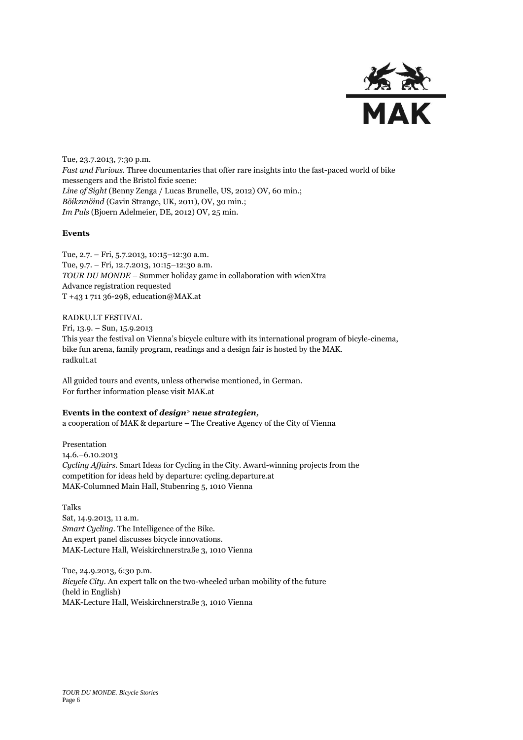

Tue, 23.7.2013, 7:30 p.m. *Fast and Furious.* Three documentaries that offer rare insights into the fast-paced world of bike messengers and the Bristol fixie scene: *Line of Sight* (Benny Zenga / Lucas Brunelle, US, 2012) OV, 60 min.; *Böikzmöind* (Gavin Strange, UK, 2011), OV, 30 min.; *Im Puls* (Bjoern Adelmeier, DE, 2012) OV, 25 min.

## **Events**

Tue, 2.7. – Fri, 5.7.2013, 10:15–12:30 a.m. Tue, 9.7. – Fri, 12.7.2013, 10:15–12:30 a.m. *TOUR DU MONDE* – Summer holiday game in collaboration with wienXtra Advance registration requested T +43 1 711 36-298[, education@MAK.at](mailto:education@MAK.at)

RADKU.LT FESTIVAL Fri, 13.9. – Sun, 15.9.2013 This year the festival on Vienna's bicycle culture with its international program of bicyle-cinema, bike fun arena, family program, readings and a design fair is hosted by the MAK. radkult.at

All guided tours and events, unless otherwise mentioned, in German. For further information please visit MAK.at

#### **Events in the context of** *design<sup>&</sup>gt; neue strategien,*

a cooperation of MAK & departure – The Creative Agency of the City of Vienna

Presentation 14.6.–6.10.2013 *Cycling Affairs.* Smart Ideas for Cycling in the City. Award-winning projects from the competition for ideas held by departure: cycling.departure.at MAK-Columned Main Hall, Stubenring 5, 1010 Vienna

Talks Sat, 14.9.2013, 11 a.m. *Smart Cycling.* The Intelligence of the Bike. An expert panel discusses bicycle innovations. MAK-Lecture Hall, Weiskirchnerstraße 3, 1010 Vienna

Tue, 24.9.2013, 6:30 p.m. *Bicycle City*. An expert talk on the two-wheeled urban mobility of the future (held in English) MAK-Lecture Hall, Weiskirchnerstraße 3, 1010 Vienna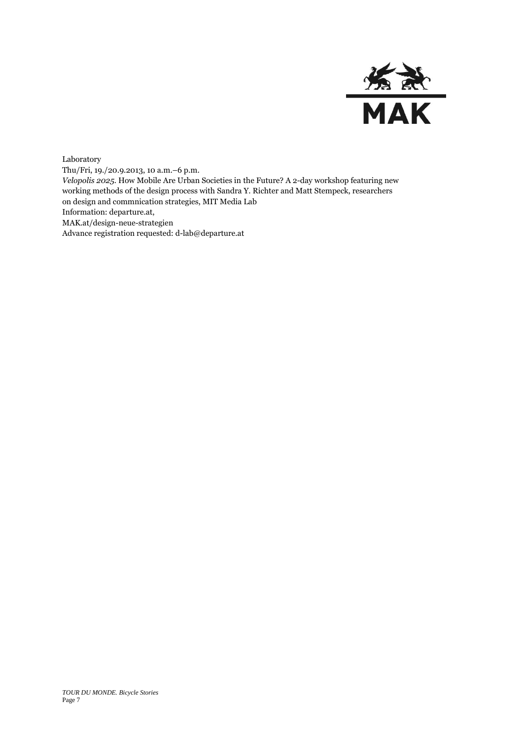

Laboratory Thu/Fri, 19./20.9.2013, 10 a.m.–6 p.m. *Velopolis 2025.* How Mobile Are Urban Societies in the Future? A 2-day workshop featuring new working methods of the design process with Sandra Y. Richter and Matt Stempeck, researchers on design and commnication strategies, MIT Media Lab Information: departure.at, MAK.at/design-neue-strategien Advance registration requested: d-lab@departure.at